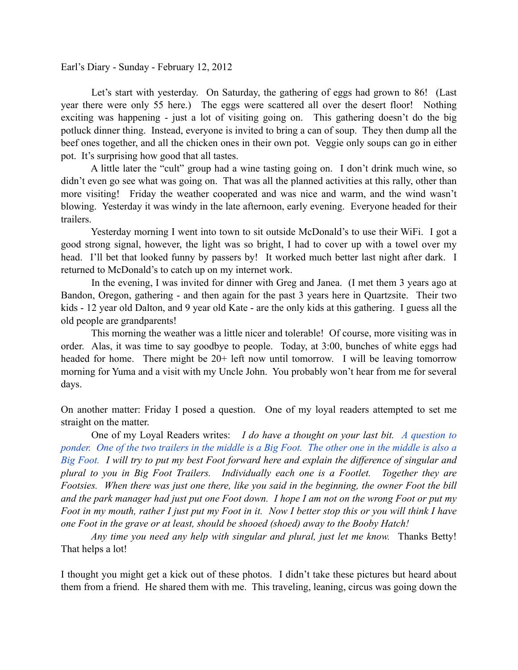Earl's Diary - Sunday - February 12, 2012

 Let's start with yesterday. On Saturday, the gathering of eggs had grown to 86! (Last year there were only 55 here.) The eggs were scattered all over the desert floor! Nothing exciting was happening - just a lot of visiting going on. This gathering doesn't do the big potluck dinner thing. Instead, everyone is invited to bring a can of soup. They then dump all the beef ones together, and all the chicken ones in their own pot. Veggie only soups can go in either pot. It's surprising how good that all tastes.

 A little later the "cult" group had a wine tasting going on. I don't drink much wine, so didn't even go see what was going on. That was all the planned activities at this rally, other than more visiting! Friday the weather cooperated and was nice and warm, and the wind wasn't blowing. Yesterday it was windy in the late afternoon, early evening. Everyone headed for their trailers.

 Yesterday morning I went into town to sit outside McDonald's to use their WiFi. I got a good strong signal, however, the light was so bright, I had to cover up with a towel over my head. I'll bet that looked funny by passers by! It worked much better last night after dark. I returned to McDonald's to catch up on my internet work.

 In the evening, I was invited for dinner with Greg and Janea. (I met them 3 years ago at Bandon, Oregon, gathering - and then again for the past 3 years here in Quartzsite. Their two kids - 12 year old Dalton, and 9 year old Kate - are the only kids at this gathering. I guess all the old people are grandparents!

 This morning the weather was a little nicer and tolerable! Of course, more visiting was in order. Alas, it was time to say goodbye to people. Today, at 3:00, bunches of white eggs had headed for home. There might be 20+ left now until tomorrow. I will be leaving tomorrow morning for Yuma and a visit with my Uncle John. You probably won't hear from me for several days.

On another matter: Friday I posed a question. One of my loyal readers attempted to set me straight on the matter.

 One of my Loyal Readers writes: *I do have a thought on your last bit. A question to ponder. One of the two trailers in the middle is a Big Foot. The other one in the middle is also a Big Foot. I will try to put my best Foot forward here and explain the difference of singular and plural to you in Big Foot Trailers. Individually each one is a Footlet. Together they are Footsies. When there was just one there, like you said in the beginning, the owner Foot the bill and the park manager had just put one Foot down. I hope I am not on the wrong Foot or put my Foot in my mouth, rather I just put my Foot in it. Now I better stop this or you will think I have one Foot in the grave or at least, should be shooed (shoed) away to the Booby Hatch!*

 *Any time you need any help with singular and plural, just let me know.* Thanks Betty! That helps a lot!

I thought you might get a kick out of these photos. I didn't take these pictures but heard about them from a friend. He shared them with me. This traveling, leaning, circus was going down the